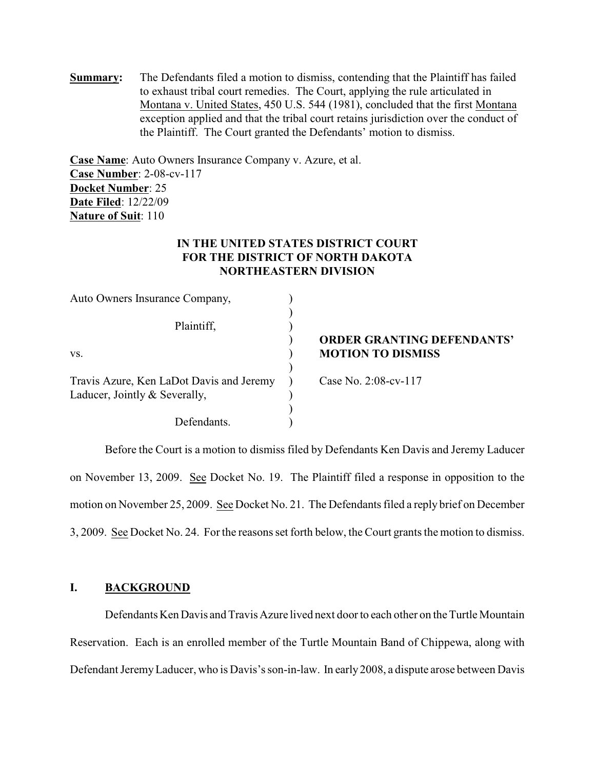**Summary:** The Defendants filed a motion to dismiss, contending that the Plaintiff has failed to exhaust tribal court remedies. The Court, applying the rule articulated in Montana v. United States, 450 U.S. 544 (1981), concluded that the first Montana exception applied and that the tribal court retains jurisdiction over the conduct of the Plaintiff. The Court granted the Defendants' motion to dismiss.

**Case Name**: Auto Owners Insurance Company v. Azure, et al. **Case Number**: 2-08-cv-117 **Docket Number**: 25 **Date Filed**: 12/22/09 **Nature of Suit**: 110

# **IN THE UNITED STATES DISTRICT COURT FOR THE DISTRICT OF NORTH DAKOTA NORTHEASTERN DIVISION**

| Auto Owners Insurance Company,           |                                   |
|------------------------------------------|-----------------------------------|
|                                          |                                   |
| Plaintiff,                               |                                   |
|                                          | <b>ORDER GRANTING DEFENDANTS'</b> |
| VS.                                      | <b>MOTION TO DISMISS</b>          |
|                                          |                                   |
| Travis Azure, Ken LaDot Davis and Jeremy | Case No. 2:08-cv-117              |
| Laducer, Jointly & Severally,            |                                   |
|                                          |                                   |
| Defendants                               |                                   |

Before the Court is a motion to dismiss filed by Defendants Ken Davis and Jeremy Laducer on November 13, 2009. See Docket No. 19. The Plaintiff filed a response in opposition to the motion on November 25, 2009. See Docket No. 21. The Defendants filed a reply brief on December 3, 2009. See Docket No. 24. For the reasons set forth below, the Court grants the motion to dismiss.

## **I. BACKGROUND**

Defendants Ken Davis and Travis Azure lived next door to each other on the Turtle Mountain Reservation. Each is an enrolled member of the Turtle Mountain Band of Chippewa, along with Defendant JeremyLaducer, who is Davis's son-in-law. In early 2008, a dispute arose between Davis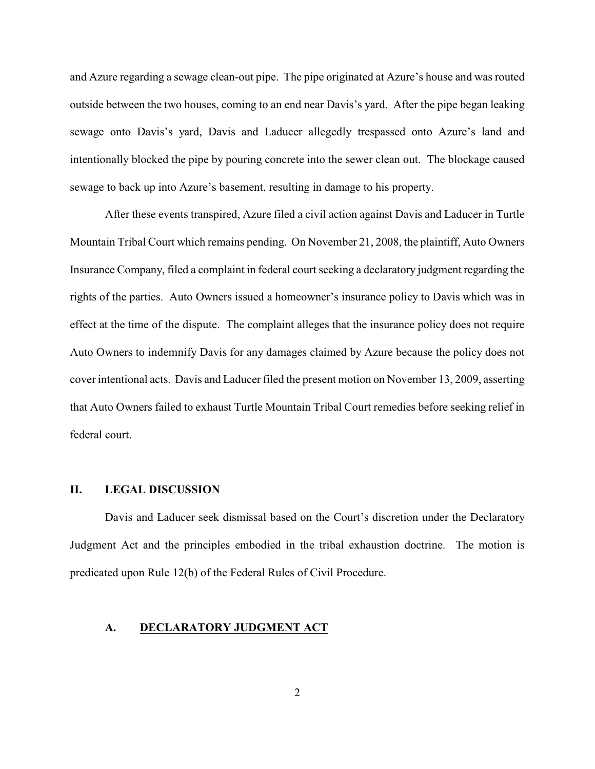and Azure regarding a sewage clean-out pipe. The pipe originated at Azure's house and was routed outside between the two houses, coming to an end near Davis's yard. After the pipe began leaking sewage onto Davis's yard, Davis and Laducer allegedly trespassed onto Azure's land and intentionally blocked the pipe by pouring concrete into the sewer clean out. The blockage caused sewage to back up into Azure's basement, resulting in damage to his property.

After these events transpired, Azure filed a civil action against Davis and Laducer in Turtle Mountain Tribal Court which remains pending. On November 21, 2008, the plaintiff, Auto Owners Insurance Company, filed a complaint in federal court seeking a declaratory judgment regarding the rights of the parties. Auto Owners issued a homeowner's insurance policy to Davis which was in effect at the time of the dispute. The complaint alleges that the insurance policy does not require Auto Owners to indemnify Davis for any damages claimed by Azure because the policy does not cover intentional acts. Davis and Laducer filed the present motion on November 13, 2009, asserting that Auto Owners failed to exhaust Turtle Mountain Tribal Court remedies before seeking relief in federal court.

#### **II. LEGAL DISCUSSION**

Davis and Laducer seek dismissal based on the Court's discretion under the Declaratory Judgment Act and the principles embodied in the tribal exhaustion doctrine. The motion is predicated upon Rule 12(b) of the Federal Rules of Civil Procedure.

#### **A. DECLARATORY JUDGMENT ACT**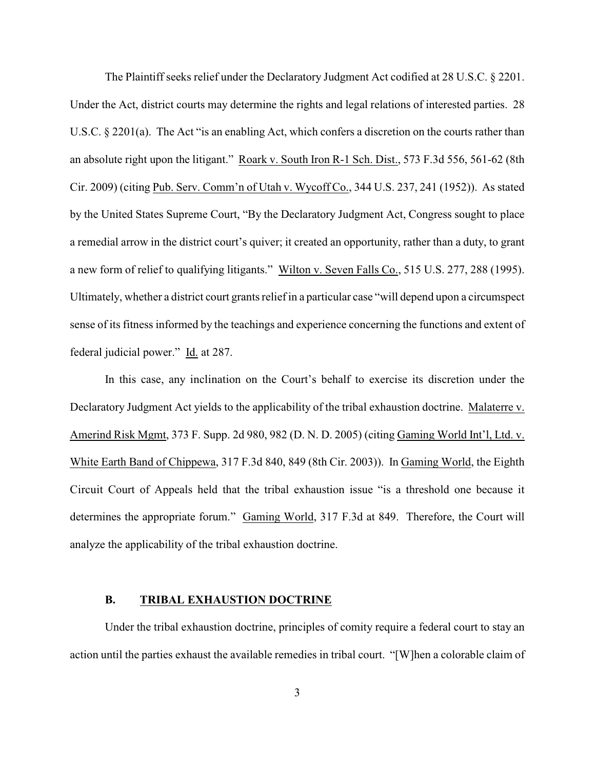The Plaintiff seeks relief under the Declaratory Judgment Act codified at 28 U.S.C. § 2201. Under the Act, district courts may determine the rights and legal relations of interested parties. 28 U.S.C. § 2201(a). The Act "is an enabling Act, which confers a discretion on the courts rather than an absolute right upon the litigant." Roark v. South Iron R-1 Sch. Dist., 573 F.3d 556, 561-62 (8th Cir. 2009) (citing Pub. Serv. Comm'n of Utah v. Wycoff Co., 344 U.S. 237, 241 (1952)). As stated by the United States Supreme Court, "By the Declaratory Judgment Act, Congress sought to place a remedial arrow in the district court's quiver; it created an opportunity, rather than a duty, to grant a new form of relief to qualifying litigants." Wilton v. Seven Falls Co., 515 U.S. 277, 288 (1995). Ultimately, whether a district court grants reliefin a particular case "will depend upon a circumspect sense of its fitness informed by the teachings and experience concerning the functions and extent of federal judicial power." Id. at 287.

In this case, any inclination on the Court's behalf to exercise its discretion under the Declaratory Judgment Act yields to the applicability of the tribal exhaustion doctrine. Malaterre v. Amerind Risk Mgmt, 373 F. Supp. 2d 980, 982 (D. N. D. 2005) (citing Gaming World Int'l, Ltd. v. White Earth Band of Chippewa, 317 F.3d 840, 849 (8th Cir. 2003)). In Gaming World, the Eighth Circuit Court of Appeals held that the tribal exhaustion issue "is a threshold one because it determines the appropriate forum." Gaming World, 317 F.3d at 849. Therefore, the Court will analyze the applicability of the tribal exhaustion doctrine.

### **B. TRIBAL EXHAUSTION DOCTRINE**

Under the tribal exhaustion doctrine, principles of comity require a federal court to stay an action until the parties exhaust the available remedies in tribal court. "[W]hen a colorable claim of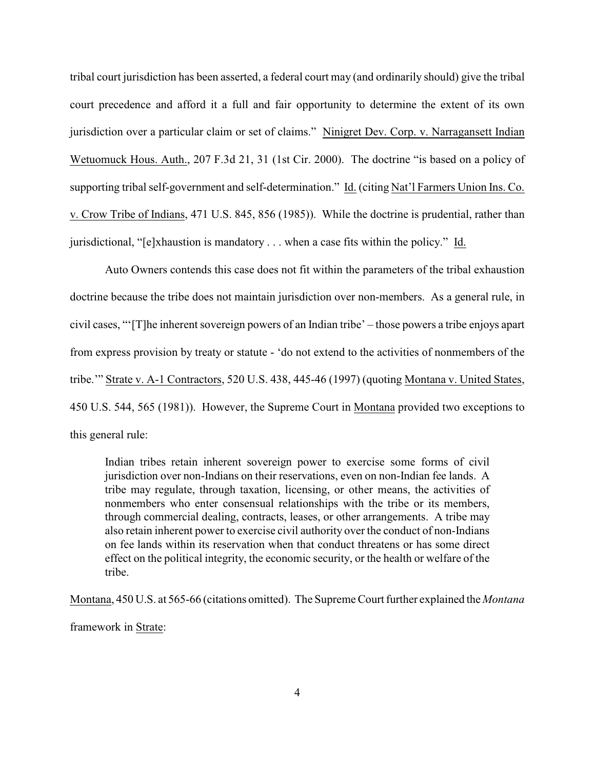tribal court jurisdiction has been asserted, a federal court may (and ordinarily should) give the tribal court precedence and afford it a full and fair opportunity to determine the extent of its own jurisdiction over a particular claim or set of claims." Ninigret Dev. Corp. v. Narragansett Indian Wetuomuck Hous. Auth., 207 F.3d 21, 31 (1st Cir. 2000). The doctrine "is based on a policy of supporting tribal self-government and self-determination." Id. (citing Nat'l Farmers Union Ins. Co. v. Crow Tribe of Indians, 471 U.S. 845, 856 (1985)). While the doctrine is prudential, rather than jurisdictional, "[e]xhaustion is mandatory . . . when a case fits within the policy." Id.

Auto Owners contends this case does not fit within the parameters of the tribal exhaustion doctrine because the tribe does not maintain jurisdiction over non-members. As a general rule, in civil cases, "'[T]he inherent sovereign powers of an Indian tribe' – those powers a tribe enjoys apart from express provision by treaty or statute - 'do not extend to the activities of nonmembers of the tribe.'" Strate v. A-1 Contractors, 520 U.S. 438, 445-46 (1997) (quoting Montana v. United States, 450 U.S. 544, 565 (1981)). However, the Supreme Court in Montana provided two exceptions to this general rule:

Indian tribes retain inherent sovereign power to exercise some forms of civil jurisdiction over non-Indians on their reservations, even on non-Indian fee lands. A tribe may regulate, through taxation, licensing, or other means, the activities of nonmembers who enter consensual relationships with the tribe or its members, through commercial dealing, contracts, leases, or other arrangements. A tribe may also retain inherent power to exercise civil authority over the conduct of non-Indians on fee lands within its reservation when that conduct threatens or has some direct effect on the political integrity, the economic security, or the health or welfare of the tribe.

Montana, 450 U.S. at 565-66 (citations omitted). The SupremeCourt further explained the *Montana* framework in Strate: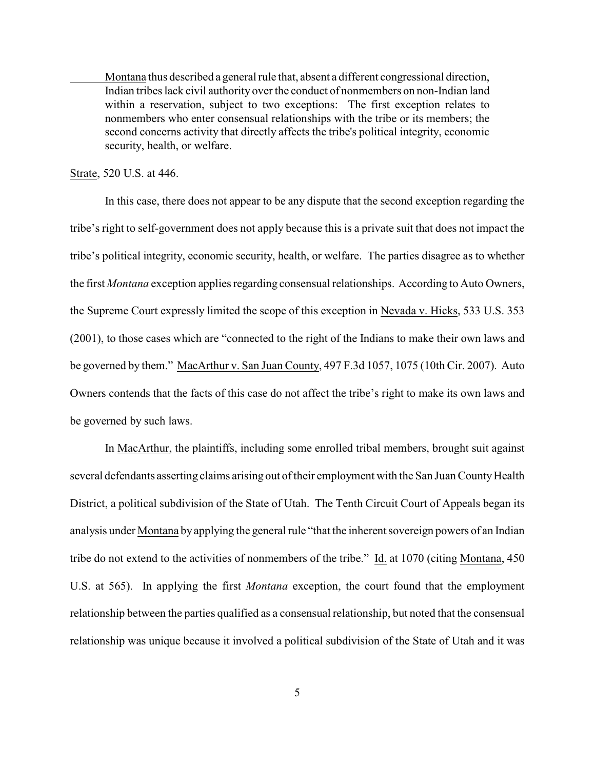Montana thus described a general rule that, absent a different congressional direction, Indian tribes lack civil authority over the conduct of nonmembers on non-Indian land within a reservation, subject to two exceptions: The first exception relates to nonmembers who enter consensual relationships with the tribe or its members; the second concerns activity that directly affects the tribe's political integrity, economic security, health, or welfare.

Strate, 520 U.S. at 446.

In this case, there does not appear to be any dispute that the second exception regarding the tribe's right to self-government does not apply because this is a private suit that does not impact the tribe's political integrity, economic security, health, or welfare. The parties disagree as to whether the first *Montana* exception applies regarding consensual relationships. According to Auto Owners, the Supreme Court expressly limited the scope of this exception in Nevada v. Hicks, 533 U.S. 353 (2001), to those cases which are "connected to the right of the Indians to make their own laws and be governed by them." MacArthur v. San Juan County, 497 F.3d 1057, 1075 (10th Cir. 2007). Auto Owners contends that the facts of this case do not affect the tribe's right to make its own laws and be governed by such laws.

In MacArthur, the plaintiffs, including some enrolled tribal members, brought suit against several defendants asserting claims arising out of their employment with the San Juan County Health District, a political subdivision of the State of Utah. The Tenth Circuit Court of Appeals began its analysis under Montana by applying the general rule "that the inherent sovereign powers of an Indian tribe do not extend to the activities of nonmembers of the tribe." Id. at 1070 (citing Montana, 450 U.S. at 565). In applying the first *Montana* exception, the court found that the employment relationship between the parties qualified as a consensual relationship, but noted that the consensual relationship was unique because it involved a political subdivision of the State of Utah and it was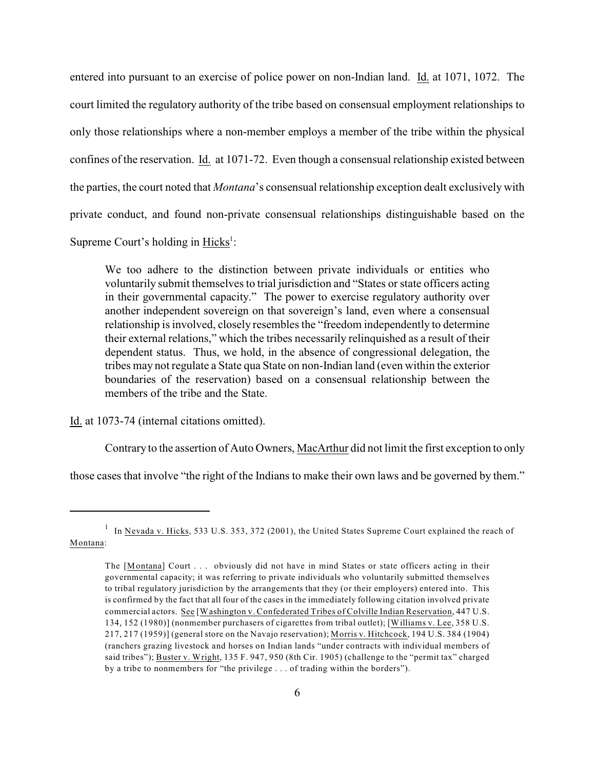entered into pursuant to an exercise of police power on non-Indian land. Id. at 1071, 1072. The court limited the regulatory authority of the tribe based on consensual employment relationships to only those relationships where a non-member employs a member of the tribe within the physical confines of the reservation. Id. at 1071-72. Even though a consensual relationship existed between the parties, the court noted that *Montana*'s consensual relationship exception dealt exclusively with private conduct, and found non-private consensual relationships distinguishable based on the Supreme Court's holding in Hicks<sup>1</sup>:

We too adhere to the distinction between private individuals or entities who voluntarily submit themselves to trial jurisdiction and "States or state officers acting in their governmental capacity." The power to exercise regulatory authority over another independent sovereign on that sovereign's land, even where a consensual relationship is involved, closely resembles the "freedom independently to determine their external relations," which the tribes necessarily relinquished as a result of their dependent status. Thus, we hold, in the absence of congressional delegation, the tribes may not regulate a State qua State on non-Indian land (even within the exterior boundaries of the reservation) based on a consensual relationship between the members of the tribe and the State.

Id. at 1073-74 (internal citations omitted).

Contrary to the assertion of Auto Owners, MacArthur did not limit the first exception to only

those cases that involve "the right of the Indians to make their own laws and be governed by them."

In Nevada v. Hicks, 533 U.S. 353, 372 (2001), the United States Supreme Court explained the reach of Montana:

The [Montana] Court . . . obviously did not have in mind States or state officers acting in their governmental capacity; it was referring to private individuals who voluntarily submitted themselves to tribal regulatory jurisdiction by the arrangements that they (or their employers) entered into. This is confirmed by the fact that all four of the cases in the immediately following citation involved private commercial actors. See [Washington v. Confederated Tribes of Colville Indian Reservation, 447 U.S. 134, 152 (1980)] (nonmember purchasers of cigarettes from tribal outlet); [Williams v. Lee, 358 U.S. 217, 217 (1959)] (general store on the Navajo reservation); Morris v. Hitchcock, 194 U.S. 384 (1904) (ranchers grazing livestock and horses on Indian lands "under contracts with individual members of said tribes"); Buster v. Wright, 135 F. 947, 950 (8th Cir. 1905) (challenge to the "permit tax" charged by a tribe to nonmembers for "the privilege . . . of trading within the borders").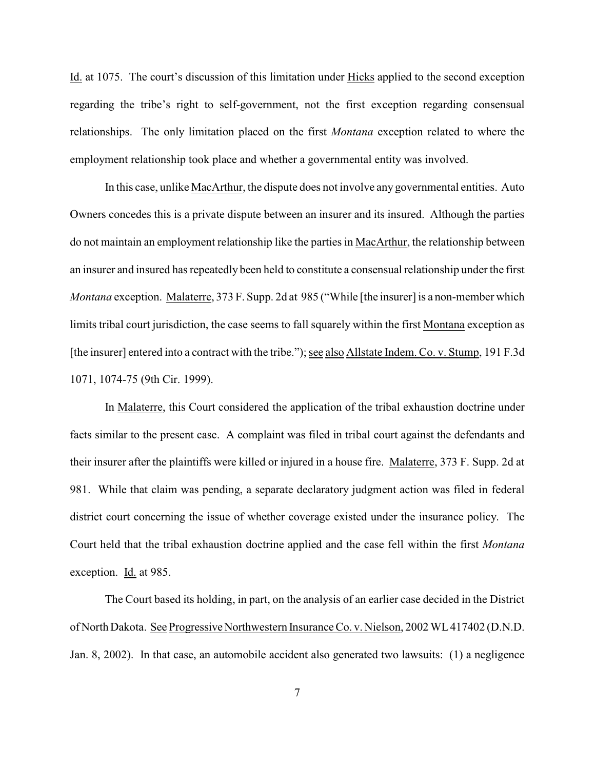Id. at 1075. The court's discussion of this limitation under Hicks applied to the second exception regarding the tribe's right to self-government, not the first exception regarding consensual relationships. The only limitation placed on the first *Montana* exception related to where the employment relationship took place and whether a governmental entity was involved.

In this case, unlike MacArthur, the dispute does not involve any governmental entities. Auto Owners concedes this is a private dispute between an insurer and its insured. Although the parties do not maintain an employment relationship like the parties in MacArthur, the relationship between an insurer and insured has repeatedly been held to constitute a consensual relationship under the first *Montana* exception. Malaterre, 373 F. Supp. 2d at 985 ("While [the insurer] is a non-member which limits tribal court jurisdiction, the case seems to fall squarely within the first Montana exception as [the insurer] entered into a contract with the tribe."); see also Allstate Indem. Co. v. Stump, 191 F.3d 1071, 1074-75 (9th Cir. 1999).

In Malaterre, this Court considered the application of the tribal exhaustion doctrine under facts similar to the present case. A complaint was filed in tribal court against the defendants and their insurer after the plaintiffs were killed or injured in a house fire. Malaterre, 373 F. Supp. 2d at 981. While that claim was pending, a separate declaratory judgment action was filed in federal district court concerning the issue of whether coverage existed under the insurance policy. The Court held that the tribal exhaustion doctrine applied and the case fell within the first *Montana* exception. Id. at 985.

The Court based its holding, in part, on the analysis of an earlier case decided in the District of North Dakota. See Progressive Northwestern Insurance Co. v. Nielson, 2002 WL 417402 (D.N.D. Jan. 8, 2002). In that case, an automobile accident also generated two lawsuits: (1) a negligence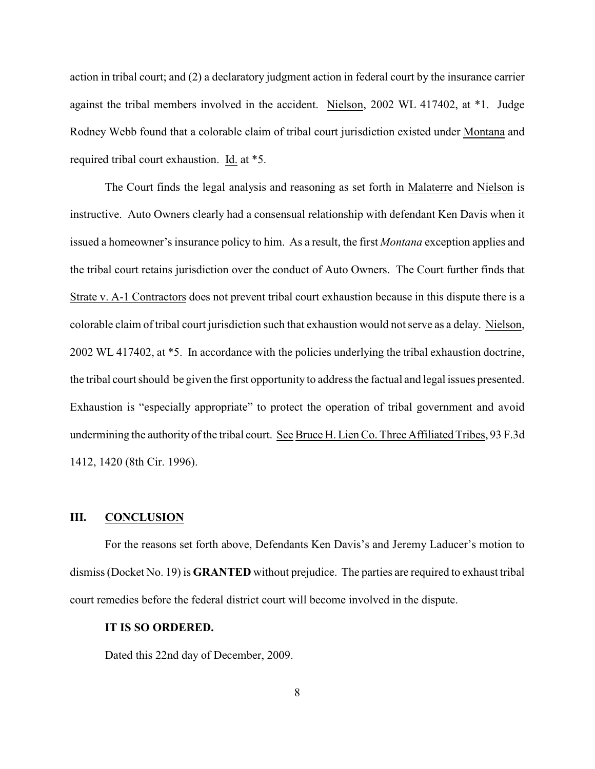action in tribal court; and (2) a declaratory judgment action in federal court by the insurance carrier against the tribal members involved in the accident. Nielson, 2002 WL 417402, at \*1. Judge Rodney Webb found that a colorable claim of tribal court jurisdiction existed under Montana and required tribal court exhaustion. Id. at \*5.

The Court finds the legal analysis and reasoning as set forth in Malaterre and Nielson is instructive. Auto Owners clearly had a consensual relationship with defendant Ken Davis when it issued a homeowner's insurance policy to him. As a result, the first *Montana* exception applies and the tribal court retains jurisdiction over the conduct of Auto Owners. The Court further finds that Strate v. A-1 Contractors does not prevent tribal court exhaustion because in this dispute there is a colorable claim of tribal court jurisdiction such that exhaustion would not serve as a delay. Nielson, 2002 WL 417402, at \*5. In accordance with the policies underlying the tribal exhaustion doctrine, the tribal court should be given the first opportunity to address the factual and legal issues presented. Exhaustion is "especially appropriate" to protect the operation of tribal government and avoid undermining the authority of the tribal court. See Bruce H. Lien Co. Three Affiliated Tribes, 93 F.3d 1412, 1420 (8th Cir. 1996).

## **III. CONCLUSION**

For the reasons set forth above, Defendants Ken Davis's and Jeremy Laducer's motion to dismiss (Docket No. 19) is **GRANTED** without prejudice. The parties are required to exhaust tribal court remedies before the federal district court will become involved in the dispute.

#### **IT IS SO ORDERED.**

Dated this 22nd day of December, 2009.